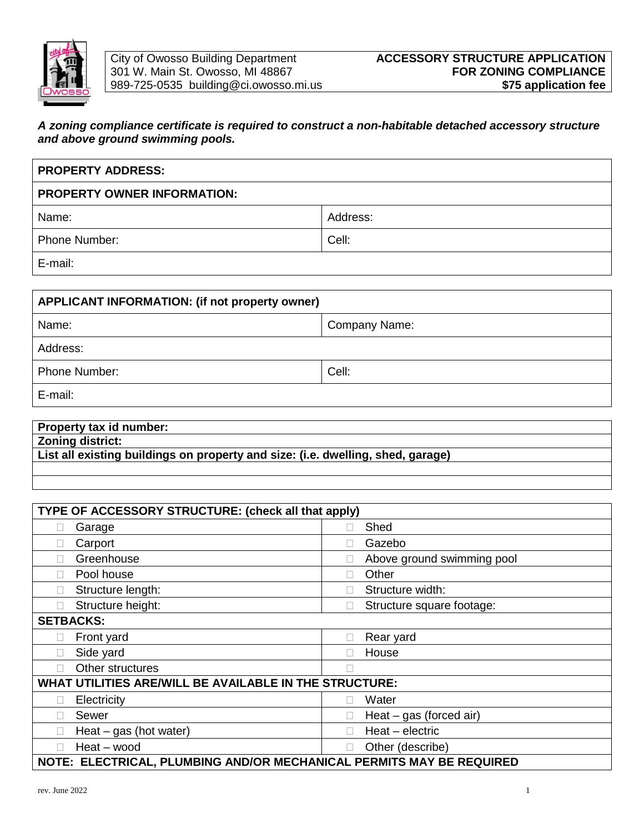

## *A zoning compliance certificate is required to construct a non-habitable detached accessory structure and above ground swimming pools.*

| <b>PROPERTY ADDRESS:</b>           |          |  |  |  |  |  |  |
|------------------------------------|----------|--|--|--|--|--|--|
| <b>PROPERTY OWNER INFORMATION:</b> |          |  |  |  |  |  |  |
| Name:                              | Address: |  |  |  |  |  |  |
| <b>Phone Number:</b>               | Cell:    |  |  |  |  |  |  |
| E-mail:                            |          |  |  |  |  |  |  |

| APPLICANT INFORMATION: (if not property owner) |       |  |  |  |  |  |  |  |
|------------------------------------------------|-------|--|--|--|--|--|--|--|
| Company Name:<br>Name:                         |       |  |  |  |  |  |  |  |
| Address:                                       |       |  |  |  |  |  |  |  |
| Phone Number:                                  | Cell: |  |  |  |  |  |  |  |
| E-mail:                                        |       |  |  |  |  |  |  |  |

| Property tax id number:                                                         |
|---------------------------------------------------------------------------------|
| <b>Zoning district:</b>                                                         |
| List all existing buildings on property and size: (i.e. dwelling, shed, garage) |
|                                                                                 |

| TYPE OF ACCESSORY STRUCTURE: (check all that apply)                  |                                           |  |  |  |  |  |  |  |  |  |
|----------------------------------------------------------------------|-------------------------------------------|--|--|--|--|--|--|--|--|--|
| Garage                                                               | Shed                                      |  |  |  |  |  |  |  |  |  |
| Carport                                                              | Gazebo                                    |  |  |  |  |  |  |  |  |  |
| Greenhouse                                                           | Above ground swimming pool                |  |  |  |  |  |  |  |  |  |
| Pool house                                                           | Other                                     |  |  |  |  |  |  |  |  |  |
| Structure length:                                                    | Structure width:                          |  |  |  |  |  |  |  |  |  |
| Structure height:                                                    | Structure square footage:<br>$\mathbf{L}$ |  |  |  |  |  |  |  |  |  |
| <b>SETBACKS:</b>                                                     |                                           |  |  |  |  |  |  |  |  |  |
| Front yard                                                           | Rear yard                                 |  |  |  |  |  |  |  |  |  |
| Side yard                                                            | House                                     |  |  |  |  |  |  |  |  |  |
| Other structures                                                     |                                           |  |  |  |  |  |  |  |  |  |
| WHAT UTILITIES ARE/WILL BE AVAILABLE IN THE STRUCTURE:               |                                           |  |  |  |  |  |  |  |  |  |
| Electricity                                                          | Water                                     |  |  |  |  |  |  |  |  |  |
| Sewer                                                                | Heat $-$ gas (forced air)                 |  |  |  |  |  |  |  |  |  |
| Heat $-$ gas (hot water)                                             | Heat - electric<br>$\mathbf{L}$           |  |  |  |  |  |  |  |  |  |
| Heat - wood                                                          | Other (describe)                          |  |  |  |  |  |  |  |  |  |
| NOTE: ELECTRICAL, PLUMBING AND/OR MECHANICAL PERMITS MAY BE REQUIRED |                                           |  |  |  |  |  |  |  |  |  |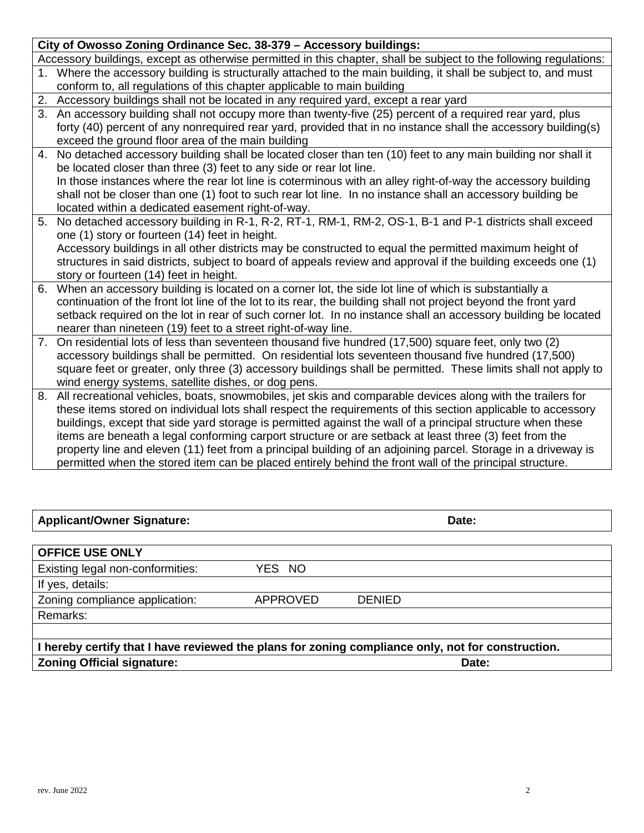If yes, details:

Remarks:

**OFFICE USE ONLY**

Existing legal non-conformities: YES NO

**I hereby certify that I have reviewed the plans for zoning compliance only, not for construction. Zoning Official signature: Date:**

**Applicant/Owner Signature: Date:**

| exceed the ground floor area of the main building                                                               |
|-----------------------------------------------------------------------------------------------------------------|
| 4. No detached accessory building shall be located closer than ten (10) feet to any main building nor shall it  |
| be located closer than three (3) feet to any side or rear lot line.                                             |
| In those instances where the rear lot line is coterminous with an alley right-of-way the accessory building     |
| shall not be closer than one (1) foot to such rear lot line. In no instance shall an accessory building be      |
| located within a dedicated easement right-of-way.                                                               |
| 5. No detached accessory building in R-1, R-2, RT-1, RM-1, RM-2, OS-1, B-1 and P-1 districts shall exceed       |
| one (1) story or fourteen (14) feet in height.                                                                  |
| Accessory buildings in all other districts may be constructed to equal the permitted maximum height of          |
| structures in said districts, subject to board of appeals review and approval if the building exceeds one (1)   |
| story or fourteen (14) feet in height.                                                                          |
| 6. When an accessory building is located on a corner lot, the side lot line of which is substantially a         |
| continuation of the front lot line of the lot to its rear, the building shall not project heyond the front vard |

- ot to its rear, the building shall not project beyond the front yard setback required on the lot in rear of such corner lot. In no instance shall an accessory building be located nearer than nineteen (19) feet to a street right-of-way line.
- 7. On residential lots of less than seventeen thousand five hundred (17,500) square feet, only two (2) accessory buildings shall be permitted. On residential lots seventeen thousand five hundred (17,500) square feet or greater, only three (3) accessory buildings shall be permitted. These limits shall not apply to wind energy systems, satellite dishes, or dog pens.
- 8. All recreational vehicles, boats, snowmobiles, jet skis and comparable devices along with the trailers for these items stored on individual lots shall respect the requirements of this section applicable to accessory buildings, except that side yard storage is permitted against the wall of a principal structure when these items are beneath a legal conforming carport structure or are setback at least three (3) feet from the property line and eleven (11) feet from a principal building of an adjoining parcel. Storage in a driveway is permitted when the stored item can be placed entirely behind the front wall of the principal structure.

## **City of Owosso Zoning Ordinance Sec. 38-379 – Accessory buildings:**

Accessory buildings, except as otherwise permitted in this chapter, shall be subject to the following regulations:

- 1. Where the accessory building is structurally attached to the main building, it shall be subject to, and must conform to, all regulations of this chapter applicable to main building
- 2. Accessory buildings shall not be located in any required yard, except a rear yard

3. An accessory building shall not occupy more than twenty-five (25) percent of a required rear yard, plus forty (40) percent of any nonrequired rear yard, provided that in no instance shall the accessory building(s)

exceed the ground floor area of the main building

|  | $\sim$ City of Owosso Zoning Ordinance Sec. 30-379 – Accessory buildings.                         |  |
|--|---------------------------------------------------------------------------------------------------|--|
|  | $\overline{a}$ accessory buildings, avecant as otherwise permitted in this epenter, shell be subj |  |

Zoning compliance application: APPROVED DENIED